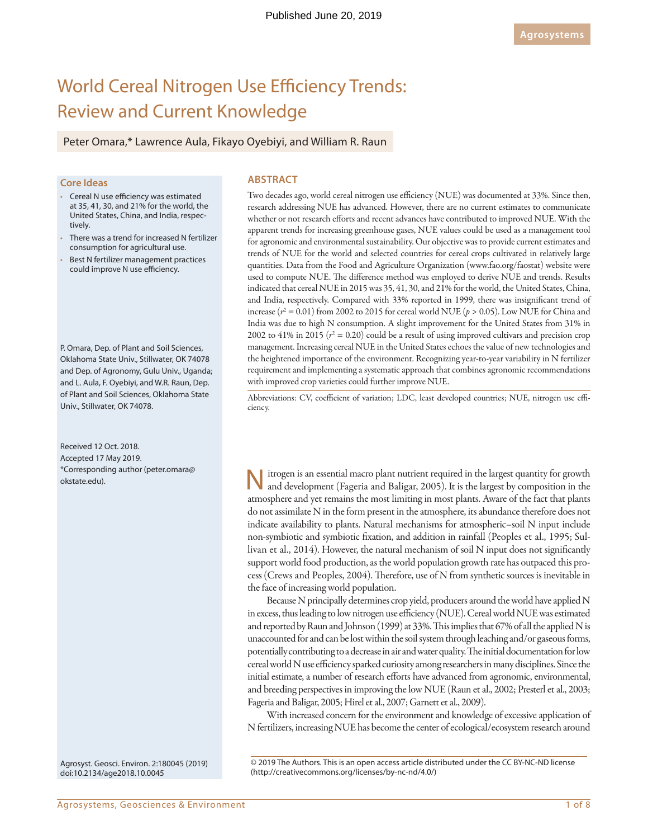# World Cereal Nitrogen Use Efficiency Trends: Review and Current Knowledge

Peter Omara,\* Lawrence Aula, Fikayo Oyebiyi, and William R. Raun

#### **Core Ideas**

- Cereal N use efficiency was estimated at 35, 41, 30, and 21% for the world, the United States, China, and India, respectively.
- There was a trend for increased N fertilizer consumption for agricultural use.
- Best N fertilizer management practices could improve N use efficiency.

P. Omara, Dep. of Plant and Soil Sciences, Oklahoma State Univ., Stillwater, OK 74078 and Dep. of Agronomy, Gulu Univ., Uganda; and L. Aula, F. Oyebiyi, and W.R. Raun, Dep. of Plant and Soil Sciences, Oklahoma State Univ., Stillwater, OK 74078.

Received 12 Oct. 2018. Accepted 17 May 2019. \*Corresponding author [\(peter.omara@](mailto:peter.omara@okstate.edu) [okstate.edu\)](mailto:peter.omara@okstate.edu).

Agrosyst. Geosci. Environ. 2:180045 (2019) [doi:10.2134/age2018.10.0045](http://doi.org/10.2134/age2018.10.0045)

**ABSTRACT**

Two decades ago, world cereal nitrogen use efficiency (NUE) was documented at 33%. Since then, research addressing NUE has advanced. However, there are no current estimates to communicate whether or not research efforts and recent advances have contributed to improved NUE. With the apparent trends for increasing greenhouse gases, NUE values could be used as a management tool for agronomic and environmental sustainability. Our objective was to provide current estimates and trends of NUE for the world and selected countries for cereal crops cultivated in relatively large quantities. Data from the Food and Agriculture Organization ([www.fao.org/faostat\)](www.fao.org/faostat) website were used to compute NUE. The difference method was employed to derive NUE and trends. Results indicated that cereal NUE in 2015 was 35, 41, 30, and 21% for the world, the United States, China, and India, respectively. Compared with 33% reported in 1999, there was insignificant trend of increase ( $r^2 = 0.01$ ) from 2002 to 2015 for cereal world NUE ( $p > 0.05$ ). Low NUE for China and India was due to high N consumption. A slight improvement for the United States from 31% in 2002 to  $41\%$  in 2015 ( $r^2 = 0.20$ ) could be a result of using improved cultivars and precision crop management. Increasing cereal NUE in the United States echoes the value of new technologies and the heightened importance of the environment. Recognizing year-to-year variability in N fertilizer requirement and implementing a systematic approach that combines agronomic recommendations with improved crop varieties could further improve NUE.

Abbreviations: CV, coefficient of variation; LDC, least developed countries; NUE, nitrogen use efficiency.

itrogen is an essential macro plant nutrient required in the largest quantity for growth and development (Fageria and Baligar, 2005). It is the largest by composition in the atmosphere and yet remains the most limiting in most plants. Aware of the fact that plants do not assimilate N in the form present in the atmosphere, its abundance therefore does not indicate availability to plants. Natural mechanisms for atmospheric–soil N input include non-symbiotic and symbiotic fixation, and addition in rainfall (Peoples et al., 1995; Sullivan et al., 2014). However, the natural mechanism of soil N input does not significantly support world food production, as the world population growth rate has outpaced this process (Crews and Peoples, 2004). Therefore, use of N from synthetic sources is inevitable in the face of increasing world population.

Because N principally determines crop yield, producers around the world have applied N in excess, thus leading to low nitrogen use efficiency (NUE). Cereal world NUE was estimated and reported by Raun and Johnson (1999) at 33%. This implies that 67% of all the applied N is unaccounted for and can be lost within the soil system through leaching and/or gaseous forms, potentially contributing to a decrease in air and water quality. The initial documentation for low cereal world N use efficiency sparked curiosity among researchers in many disciplines. Since the initial estimate, a number of research efforts have advanced from agronomic, environmental, and breeding perspectives in improving the low NUE (Raun et al., 2002; Presterl et al., 2003; Fageria and Baligar, 2005; Hirel et al., 2007; Garnett et al., 2009).

With increased concern for the environment and knowledge of excessive application of N fertilizers, increasing NUE has become the center of ecological/ecosystem research around

© 2019 The Authors. This is an open access article distributed under the CC BY-NC-ND license [\(http://creativecommons.org/licenses/by-nc-nd/4.0/](http://creativecommons.org/licenses/by-nc-nd/4.0))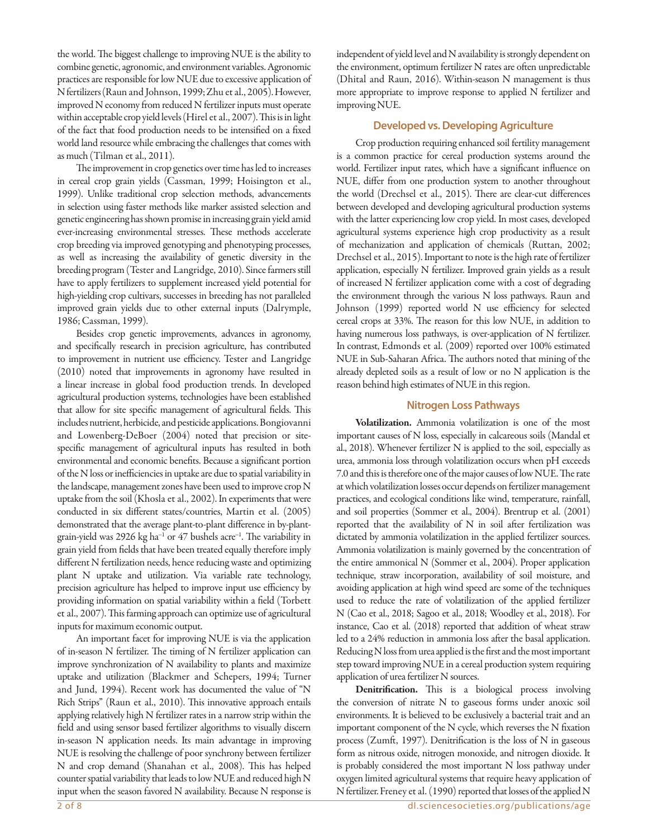the world. The biggest challenge to improving NUE is the ability to combine genetic, agronomic, and environment variables. Agronomic practices are responsible for low NUE due to excessive application of N fertilizers (Raun and Johnson, 1999; Zhu et al., 2005). However, improved N economy from reduced N fertilizer inputs must operate within acceptable crop yield levels (Hirel et al., 2007). This is in light of the fact that food production needs to be intensified on a fixed world land resource while embracing the challenges that comes with as much (Tilman et al., 2011).

The improvement in crop genetics over time has led to increases in cereal crop grain yields (Cassman, 1999; Hoisington et al., 1999). Unlike traditional crop selection methods, advancements in selection using faster methods like marker assisted selection and genetic engineering has shown promise in increasing grain yield amid ever-increasing environmental stresses. These methods accelerate crop breeding via improved genotyping and phenotyping processes, as well as increasing the availability of genetic diversity in the breeding program (Tester and Langridge, 2010). Since farmers still have to apply fertilizers to supplement increased yield potential for high-yielding crop cultivars, successes in breeding has not paralleled improved grain yields due to other external inputs (Dalrymple, 1986; Cassman, 1999).

Besides crop genetic improvements, advances in agronomy, and specifically research in precision agriculture, has contributed to improvement in nutrient use efficiency. Tester and Langridge (2010) noted that improvements in agronomy have resulted in a linear increase in global food production trends. In developed agricultural production systems, technologies have been established that allow for site specific management of agricultural fields. This includes nutrient, herbicide, and pesticide applications. Bongiovanni and Lowenberg-DeBoer (2004) noted that precision or sitespecific management of agricultural inputs has resulted in both environmental and economic benefits. Because a significant portion of the N loss or inefficiencies in uptake are due to spatial variability in the landscape, management zones have been used to improve crop N uptake from the soil (Khosla et al., 2002). In experiments that were conducted in six different states/countries, Martin et al. (2005) demonstrated that the average plant-to-plant difference in by-plantgrain-yield was 2926 kg ha<sup>-1</sup> or 47 bushels acre<sup>-1</sup>. The variability in grain yield from fields that have been treated equally therefore imply different N fertilization needs, hence reducing waste and optimizing plant N uptake and utilization. Via variable rate technology, precision agriculture has helped to improve input use efficiency by providing information on spatial variability within a field (Torbett et al., 2007). This farming approach can optimize use of agricultural inputs for maximum economic output.

An important facet for improving NUE is via the application of in-season N fertilizer. The timing of N fertilizer application can improve synchronization of N availability to plants and maximize uptake and utilization (Blackmer and Schepers, 1994; Turner and Jund, 1994). Recent work has documented the value of "N Rich Strips" (Raun et al., 2010). This innovative approach entails applying relatively high N fertilizer rates in a narrow strip within the field and using sensor based fertilizer algorithms to visually discern in-season N application needs. Its main advantage in improving NUE is resolving the challenge of poor synchrony between fertilizer N and crop demand (Shanahan et al., 2008). This has helped counter spatial variability that leads to low NUE and reduced high N input when the season favored N availability. Because N response is

independent of yield level and N availability is strongly dependent on the environment, optimum fertilizer N rates are often unpredictable (Dhital and Raun, 2016). Within-season N management is thus more appropriate to improve response to applied N fertilizer and improving NUE.

# **Developed vs. Developing Agriculture**

Crop production requiring enhanced soil fertility management is a common practice for cereal production systems around the world. Fertilizer input rates, which have a significant influence on NUE, differ from one production system to another throughout the world (Drechsel et al., 2015). There are clear-cut differences between developed and developing agricultural production systems with the latter experiencing low crop yield. In most cases, developed agricultural systems experience high crop productivity as a result of mechanization and application of chemicals (Ruttan, 2002; Drechsel et al., 2015). Important to note is the high rate of fertilizer application, especially N fertilizer. Improved grain yields as a result of increased N fertilizer application come with a cost of degrading the environment through the various N loss pathways. Raun and Johnson (1999) reported world N use efficiency for selected cereal crops at 33%. The reason for this low NUE, in addition to having numerous loss pathways, is over-application of N fertilizer. In contrast, Edmonds et al. (2009) reported over 100% estimated NUE in Sub-Saharan Africa. The authors noted that mining of the already depleted soils as a result of low or no N application is the reason behind high estimates of NUE in this region.

## **Nitrogen Loss Pathways**

Volatilization. Ammonia volatilization is one of the most important causes of N loss, especially in calcareous soils (Mandal et al., 2018). Whenever fertilizer N is applied to the soil, especially as urea, ammonia loss through volatilization occurs when pH exceeds 7.0 and this is therefore one of the major causes of low NUE. The rate at which volatilization losses occur depends on fertilizer management practices, and ecological conditions like wind, temperature, rainfall, and soil properties (Sommer et al., 2004). Brentrup et al. (2001) reported that the availability of N in soil after fertilization was dictated by ammonia volatilization in the applied fertilizer sources. Ammonia volatilization is mainly governed by the concentration of the entire ammonical N (Sommer et al., 2004). Proper application technique, straw incorporation, availability of soil moisture, and avoiding application at high wind speed are some of the techniques used to reduce the rate of volatilization of the applied fertilizer N (Cao et al., 2018; Sagoo et al., 2018; Woodley et al., 2018). For instance, Cao et al. (2018) reported that addition of wheat straw led to a 24% reduction in ammonia loss after the basal application. Reducing N loss from urea applied is the first and the most important step toward improving NUE in a cereal production system requiring application of urea fertilizer N sources.

Denitrification. This is a biological process involving the conversion of nitrate N to gaseous forms under anoxic soil environments. It is believed to be exclusively a bacterial trait and an important component of the N cycle, which reverses the N fixation process (Zumft, 1997). Denitrification is the loss of N in gaseous form as nitrous oxide, nitrogen monoxide, and nitrogen dioxide. It is probably considered the most important N loss pathway under oxygen limited agricultural systems that require heavy application of N fertilizer. Freney et al. (1990) reported that losses of the applied N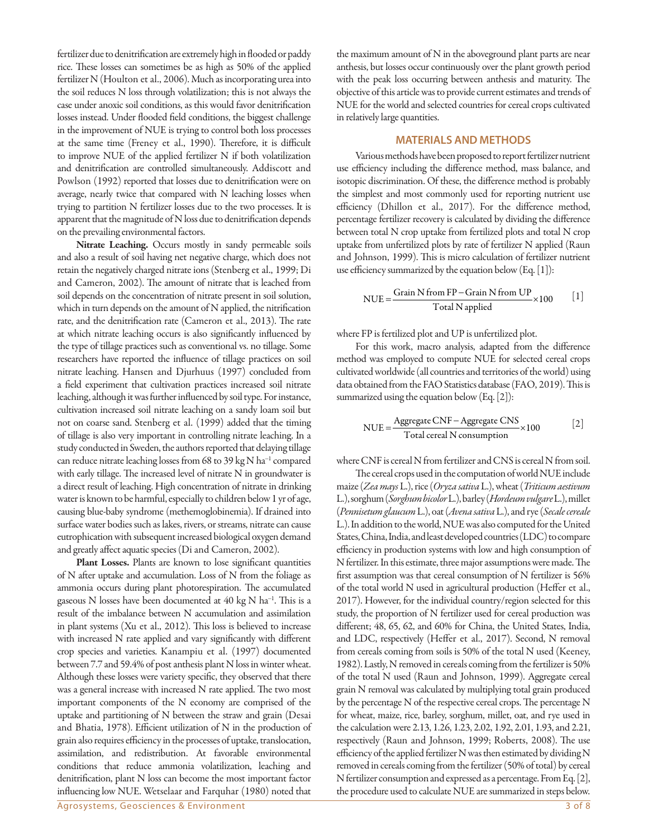fertilizer due to denitrification are extremely high in flooded or paddy rice. These losses can sometimes be as high as 50% of the applied fertilizer N (Houlton et al., 2006). Much as incorporating urea into the soil reduces N loss through volatilization; this is not always the case under anoxic soil conditions, as this would favor denitrification losses instead. Under flooded field conditions, the biggest challenge in the improvement of NUE is trying to control both loss processes at the same time (Freney et al., 1990). Therefore, it is difficult to improve NUE of the applied fertilizer N if both volatilization and denitrification are controlled simultaneously. Addiscott and Powlson (1992) reported that losses due to denitrification were on average, nearly twice that compared with N leaching losses when trying to partition N fertilizer losses due to the two processes. It is apparent that the magnitude of N loss due to denitrification depends on the prevailing environmental factors.

Nitrate Leaching. Occurs mostly in sandy permeable soils and also a result of soil having net negative charge, which does not retain the negatively charged nitrate ions (Stenberg et al., 1999; Di and Cameron, 2002). The amount of nitrate that is leached from soil depends on the concentration of nitrate present in soil solution, which in turn depends on the amount of N applied, the nitrification rate, and the denitrification rate (Cameron et al., 2013). The rate at which nitrate leaching occurs is also significantly influenced by the type of tillage practices such as conventional vs. no tillage. Some researchers have reported the influence of tillage practices on soil nitrate leaching. Hansen and Djurhuus (1997) concluded from a field experiment that cultivation practices increased soil nitrate leaching, although it was further influenced by soil type. For instance, cultivation increased soil nitrate leaching on a sandy loam soil but not on coarse sand. Stenberg et al. (1999) added that the timing of tillage is also very important in controlling nitrate leaching. In a study conducted in Sweden, the authors reported that delaying tillage can reduce nitrate leaching losses from 68 to 39 kg N ha<sup>-1</sup> compared with early tillage. The increased level of nitrate N in groundwater is a direct result of leaching. High concentration of nitrate in drinking water is known to be harmful, especially to children below 1 yr of age, causing blue-baby syndrome (methemoglobinemia). If drained into surface water bodies such as lakes, rivers, or streams, nitrate can cause eutrophication with subsequent increased biological oxygen demand and greatly affect aquatic species (Di and Cameron, 2002).

Plant Losses. Plants are known to lose significant quantities of N after uptake and accumulation. Loss of N from the foliage as ammonia occurs during plant photorespiration. The accumulated gaseous N losses have been documented at 40 kg N ha<sup>-1</sup>. This is a result of the imbalance between N accumulation and assimilation in plant systems (Xu et al., 2012). This loss is believed to increase with increased N rate applied and vary significantly with different crop species and varieties. Kanampiu et al. (1997) documented between 7.7 and 59.4% of post anthesis plant N loss in winter wheat. Although these losses were variety specific, they observed that there was a general increase with increased N rate applied. The two most important components of the N economy are comprised of the uptake and partitioning of N between the straw and grain (Desai and Bhatia, 1978). Efficient utilization of N in the production of grain also requires efficiency in the processes of uptake, translocation, assimilation, and redistribution. At favorable environmental conditions that reduce ammonia volatilization, leaching and denitrification, plant N loss can become the most important factor influencing low NUE. Wetselaar and Farquhar (1980) noted that

the maximum amount of N in the aboveground plant parts are near anthesis, but losses occur continuously over the plant growth period with the peak loss occurring between anthesis and maturity. The objective of this article was to provide current estimates and trends of NUE for the world and selected countries for cereal crops cultivated in relatively large quantities.

## **MATERIALS AND METHODS**

Various methods have been proposed to report fertilizer nutrient use efficiency including the difference method, mass balance, and isotopic discrimination. Of these, the difference method is probably the simplest and most commonly used for reporting nutrient use efficiency (Dhillon et al., 2017). For the difference method, percentage fertilizer recovery is calculated by dividing the difference between total N crop uptake from fertilized plots and total N crop uptake from unfertilized plots by rate of fertilizer N applied (Raun and Johnson, 1999). This is micro calculation of fertilizer nutrient use efficiency summarized by the equation below (Eq. [1]):

$$
NUE = \frac{Grain N from FP - Grain N from UP}{Total N applied} \times 100
$$
 [1]

where FP is fertilized plot and UP is unfertilized plot.

For this work, macro analysis, adapted from the difference method was employed to compute NUE for selected cereal crops cultivated worldwide (all countries and territories of the world) using data obtained from the FAO Statistics database (FAO, 2019). This is summarized using the equation below (Eq. [2]):

$$
NUE = \frac{Aggregate CNF - Aggregate CNS}{Total cereal N consumption} \times 100
$$
 [2]

where CNF is cereal N from fertilizer and CNS is cereal N from soil.

The cereal crops used in the computation of world NUE include maize (*Zea mays* L.), rice (*Oryza sativa* L.), wheat (*Triticum aestivum* L.), sorghum (*Sorghum bicolor* L.), barley (*Hordeum vulgare* L.), millet (*Pennisetum glaucum* L.), oat (*Avena sativa* L.), and rye (*Secale cereale* L.). In addition to the world, NUE was also computed for the United States, China, India, and least developed countries (LDC) to compare efficiency in production systems with low and high consumption of N fertilizer. In this estimate, three major assumptions were made. The first assumption was that cereal consumption of N fertilizer is 56% of the total world N used in agricultural production (Heffer et al., 2017). However, for the individual country/region selected for this study, the proportion of N fertilizer used for cereal production was different; 48, 65, 62, and 60% for China, the United States, India, and LDC, respectively (Heffer et al., 2017). Second, N removal from cereals coming from soils is 50% of the total N used (Keeney, 1982). Lastly, N removed in cereals coming from the fertilizer is 50% of the total N used (Raun and Johnson, 1999). Aggregate cereal grain N removal was calculated by multiplying total grain produced by the percentage N of the respective cereal crops. The percentage N for wheat, maize, rice, barley, sorghum, millet, oat, and rye used in the calculation were 2.13, 1.26, 1.23, 2.02, 1.92, 2.01, 1.93, and 2.21, respectively (Raun and Johnson, 1999; Roberts, 2008). The use efficiency of the applied fertilizer N was then estimated by dividing N removed in cereals coming from the fertilizer (50% of total) by cereal N fertilizer consumption and expressed as a percentage. From Eq. [2], the procedure used to calculate NUE are summarized in steps below.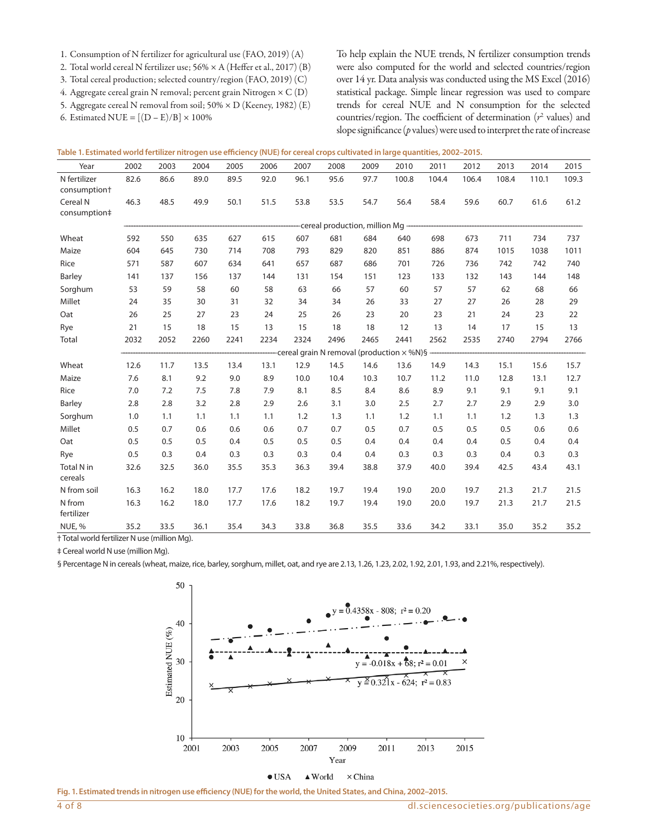- 1. Consumption of N fertilizer for agricultural use (FAO, 2019) (A)
- 2. Total world cereal N fertilizer use; 56% × A (Heffer et al., 2017) (B)
- 3. Total cereal production; selected country/region (FAO, 2019) (C)
- 4. Aggregate cereal grain N removal; percent grain Nitrogen × C (D)
- 5. Aggregate cereal N removal from soil; 50% × D (Keeney, 1982) (E)

6. Estimated NUE =  $[(D - E)/B] \times 100\%$ 

To help explain the NUE trends, N fertilizer consumption trends were also computed for the world and selected countries/region over 14 yr. Data analysis was conducted using the MS Excel (2016) statistical package. Simple linear regression was used to compare trends for cereal NUE and N consumption for the selected countries/region. The coefficient of determination ( $r^2$  values) and slope significance (*p* values) were used to interpret the rate of increase

| Table 1. Estimated world fertilizer nitrogen use efficiency (NUE) for cereal crops cultivated in large quantities, 2002–2015. |  |  |  |
|-------------------------------------------------------------------------------------------------------------------------------|--|--|--|
|                                                                                                                               |  |  |  |

| Year                                     | 2002                             | 2003 | 2004 | 2005 | 2006 | 2007                                              | 2008 | 2009 | 2010  | 2011  | 2012  | 2013  | 2014  | 2015  |
|------------------------------------------|----------------------------------|------|------|------|------|---------------------------------------------------|------|------|-------|-------|-------|-------|-------|-------|
| N fertilizer<br>consumption <sup>+</sup> | 82.6                             | 86.6 | 89.0 | 89.5 | 92.0 | 96.1                                              | 95.6 | 97.7 | 100.8 | 104.4 | 106.4 | 108.4 | 110.1 | 109.3 |
| Cereal N                                 | 46.3                             | 48.5 | 49.9 | 50.1 | 51.5 | 53.8                                              | 53.5 | 54.7 | 56.4  | 58.4  | 59.6  | 60.7  | 61.6  | 61.2  |
| consumption‡                             |                                  |      |      |      |      |                                                   |      |      |       |       |       |       |       |       |
|                                          | -cereal production, million Mg - |      |      |      |      |                                                   |      |      |       |       |       |       |       |       |
| Wheat                                    | 592                              | 550  | 635  | 627  | 615  | 607                                               | 681  | 684  | 640   | 698   | 673   | 711   | 734   | 737   |
| Maize                                    | 604                              | 645  | 730  | 714  | 708  | 793                                               | 829  | 820  | 851   | 886   | 874   | 1015  | 1038  | 1011  |
| Rice                                     | 571                              | 587  | 607  | 634  | 641  | 657                                               | 687  | 686  | 701   | 726   | 736   | 742   | 742   | 740   |
| Barley                                   | 141                              | 137  | 156  | 137  | 144  | 131                                               | 154  | 151  | 123   | 133   | 132   | 143   | 144   | 148   |
| Sorghum                                  | 53                               | 59   | 58   | 60   | 58   | 63                                                | 66   | 57   | 60    | 57    | 57    | 62    | 68    | 66    |
| Millet                                   | 24                               | 35   | 30   | 31   | 32   | 34                                                | 34   | 26   | 33    | 27    | 27    | 26    | 28    | 29    |
| Oat                                      | 26                               | 25   | 27   | 23   | 24   | 25                                                | 26   | 23   | 20    | 23    | 21    | 24    | 23    | 22    |
| Rye                                      | 21                               | 15   | 18   | 15   | 13   | 15                                                | 18   | 18   | 12    | 13    | 14    | 17    | 15    | 13    |
| Total                                    | 2032                             | 2052 | 2260 | 2241 | 2234 | 2324                                              | 2496 | 2465 | 2441  | 2562  | 2535  | 2740  | 2794  | 2766  |
|                                          |                                  |      |      |      |      | -cereal grain N removal (production $\times$ %N)§ |      |      |       |       |       |       |       |       |
| Wheat                                    | 12.6                             | 11.7 | 13.5 | 13.4 | 13.1 | 12.9                                              | 14.5 | 14.6 | 13.6  | 14.9  | 14.3  | 15.1  | 15.6  | 15.7  |
| Maize                                    | 7.6                              | 8.1  | 9.2  | 9.0  | 8.9  | 10.0                                              | 10.4 | 10.3 | 10.7  | 11.2  | 11.0  | 12.8  | 13.1  | 12.7  |
| Rice                                     | 7.0                              | 7.2  | 7.5  | 7.8  | 7.9  | 8.1                                               | 8.5  | 8.4  | 8.6   | 8.9   | 9.1   | 9.1   | 9.1   | 9.1   |
| Barley                                   | 2.8                              | 2.8  | 3.2  | 2.8  | 2.9  | 2.6                                               | 3.1  | 3.0  | 2.5   | 2.7   | 2.7   | 2.9   | 2.9   | 3.0   |
| Sorghum                                  | 1.0                              | 1.1  | 1.1  | 1.1  | 1.1  | 1.2                                               | 1.3  | 1.1  | 1.2   | 1.1   | 1.1   | 1.2   | 1.3   | 1.3   |
| Millet                                   | 0.5                              | 0.7  | 0.6  | 0.6  | 0.6  | 0.7                                               | 0.7  | 0.5  | 0.7   | 0.5   | 0.5   | 0.5   | 0.6   | 0.6   |
| Oat                                      | 0.5                              | 0.5  | 0.5  | 0.4  | 0.5  | 0.5                                               | 0.5  | 0.4  | 0.4   | 0.4   | 0.4   | 0.5   | 0.4   | 0.4   |
| Rye                                      | 0.5                              | 0.3  | 0.4  | 0.3  | 0.3  | 0.3                                               | 0.4  | 0.4  | 0.3   | 0.3   | 0.3   | 0.4   | 0.3   | 0.3   |
| <b>Total N in</b><br>cereals             | 32.6                             | 32.5 | 36.0 | 35.5 | 35.3 | 36.3                                              | 39.4 | 38.8 | 37.9  | 40.0  | 39.4  | 42.5  | 43.4  | 43.1  |
| N from soil                              | 16.3                             | 16.2 | 18.0 | 17.7 | 17.6 | 18.2                                              | 19.7 | 19.4 | 19.0  | 20.0  | 19.7  | 21.3  | 21.7  | 21.5  |
| N from<br>fertilizer                     | 16.3                             | 16.2 | 18.0 | 17.7 | 17.6 | 18.2                                              | 19.7 | 19.4 | 19.0  | 20.0  | 19.7  | 21.3  | 21.7  | 21.5  |
| NUE, %                                   | 35.2                             | 33.5 | 36.1 | 35.4 | 34.3 | 33.8                                              | 36.8 | 35.5 | 33.6  | 34.2  | 33.1  | 35.0  | 35.2  | 35.2  |

† Total world fertilizer N use (million Mg).

‡ Cereal world N use (million Mg).

§ Percentage N in cereals (wheat, maize, rice, barley, sorghum, millet, oat, and rye are 2.13, 1.26, 1.23, 2.02, 1.92, 2.01, 1.93, and 2.21%, respectively).



**Fig. 1. Estimated trends in nitrogen use efficiency (NUE) for the world, the United States, and China, 2002–2015.**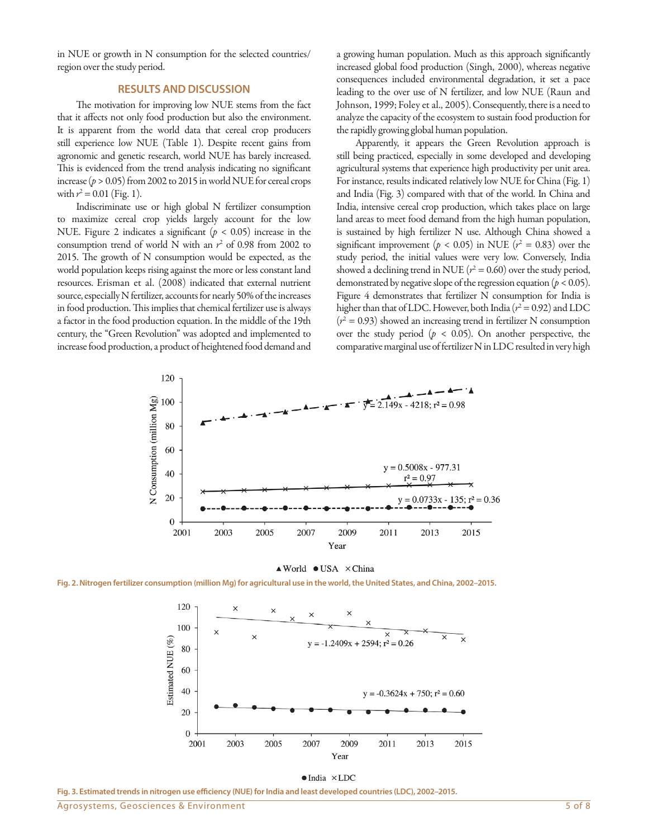in NUE or growth in N consumption for the selected countries/ region over the study period.

#### **RESULTS AND DISCUSSION**

The motivation for improving low NUE stems from the fact that it affects not only food production but also the environment. It is apparent from the world data that cereal crop producers still experience low NUE (Table 1). Despite recent gains from agronomic and genetic research, world NUE has barely increased. This is evidenced from the trend analysis indicating no significant increase ( $p > 0.05$ ) from 2002 to 2015 in world NUE for cereal crops with  $r^2 = 0.01$  (Fig. 1).

Indiscriminate use or high global N fertilizer consumption to maximize cereal crop yields largely account for the low NUE. Figure 2 indicates a significant (*p* < 0.05) increase in the consumption trend of world N with an  $r^2$  of 0.98 from 2002 to 2015. The growth of N consumption would be expected, as the world population keeps rising against the more or less constant land resources. Erisman et al. (2008) indicated that external nutrient source, especially N fertilizer, accounts for nearly 50% of the increases in food production. This implies that chemical fertilizer use is always a factor in the food production equation. In the middle of the 19th century, the "Green Revolution" was adopted and implemented to increase food production, a product of heightened food demand and

a growing human population. Much as this approach significantly increased global food production (Singh, 2000), whereas negative consequences included environmental degradation, it set a pace leading to the over use of N fertilizer, and low NUE (Raun and Johnson, 1999; Foley et al., 2005). Consequently, there is a need to analyze the capacity of the ecosystem to sustain food production for the rapidly growing global human population.

Apparently, it appears the Green Revolution approach is still being practiced, especially in some developed and developing agricultural systems that experience high productivity per unit area. For instance, results indicated relatively low NUE for China (Fig. 1) and India (Fig. 3) compared with that of the world. In China and India, intensive cereal crop production, which takes place on large land areas to meet food demand from the high human population, is sustained by high fertilizer N use. Although China showed a significant improvement ( $p < 0.05$ ) in NUE ( $r^2 = 0.83$ ) over the study period, the initial values were very low. Conversely, India showed a declining trend in NUE  $(r^2 = 0.60)$  over the study period, demonstrated by negative slope of the regression equation ( $p < 0.05$ ). Figure 4 demonstrates that fertilizer N consumption for India is higher than that of LDC. However, both India  $(r^2 = 0.92)$  and LDC  $(r^2 = 0.93)$  showed an increasing trend in fertilizer N consumption over the study period ( $p < 0.05$ ). On another perspective, the comparative marginal use of fertilizer N in LDC resulted in very high



 $\triangle$  World  $\bullet$  USA  $\times$  China

**Fig. 2. Nitrogen fertilizer consumption (million Mg) for agricultural use in the world, the United States, and China, 2002–2015.**





**Fig. 3. Estimated trends in nitrogen use efficiency (NUE) for India and least developed countries (LDC), 2002–2015.**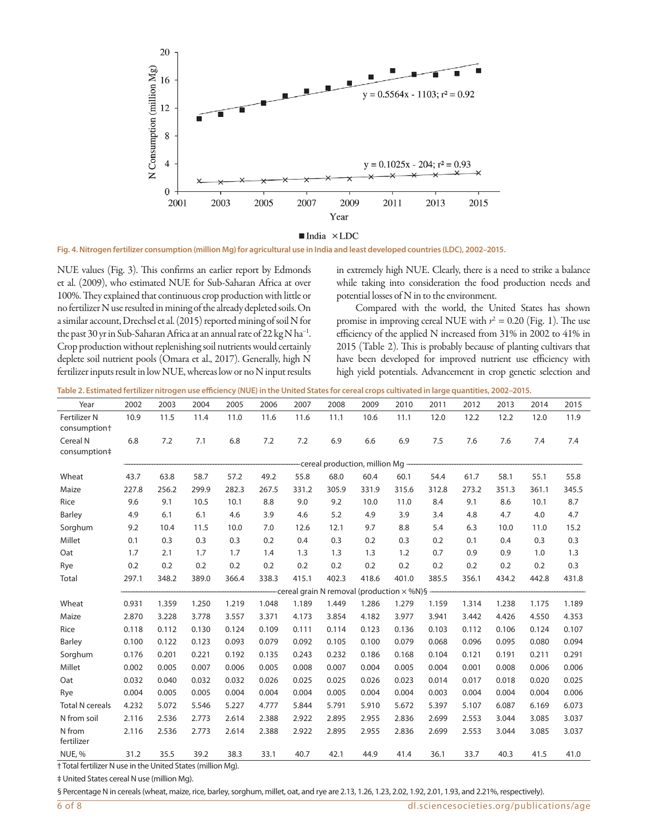

 $\blacksquare$ India  $\times$ LDC

**Fig. 4. Nitrogen fertilizer consumption (million Mg) for agricultural use in India and least developed countries (LDC), 2002–2015.**

NUE values (Fig. 3). This confirms an earlier report by Edmonds et al. (2009), who estimated NUE for Sub-Saharan Africa at over 100%. They explained that continuous crop production with little or no fertilizer N use resulted in mining of the already depleted soils. On a similar account, Drechsel et al. (2015) reported mining of soil N for the past 30 yr in Sub-Saharan Africa at an annual rate of 22 kg N ha<sup>-1</sup>. Crop production without replenishing soil nutrients would certainly deplete soil nutrient pools (Omara et al., 2017). Generally, high N fertilizer inputs result in low NUE, whereas low or no N input results

in extremely high NUE. Clearly, there is a need to strike a balance while taking into consideration the food production needs and potential losses of N in to the environment.

Compared with the world, the United States has shown promise in improving cereal NUE with  $r^2 = 0.20$  (Fig. 1). The use efficiency of the applied N increased from 31% in 2002 to 41% in 2015 (Table 2). This is probably because of planting cultivars that have been developed for improved nutrient use efficiency with high yield potentials. Advancement in crop genetic selection and

**Table 2. Estimated fertilizer nitrogen use efficiency (NUE) in the United States for cereal crops cultivated in large quantities, 2002–2015.**

| Year                                     | 2002                             | 2003  | 2004  | 2005  | 2006  | 2007  | 2008  | 2009  | 2010                                                                   | 2011  | 2012  | 2013  | 2014  | 2015  |  |  |  |  |  |
|------------------------------------------|----------------------------------|-------|-------|-------|-------|-------|-------|-------|------------------------------------------------------------------------|-------|-------|-------|-------|-------|--|--|--|--|--|
| Fertilizer N<br>consumption <sup>+</sup> | 10.9                             | 11.5  | 11.4  | 11.0  | 11.6  | 11.6  | 11.1  | 10.6  | 11.1                                                                   | 12.0  | 12.2  | 12.2  | 12.0  | 11.9  |  |  |  |  |  |
| Cereal N<br>consumption‡                 | 6.8                              | 7.2   | 7.1   | 6.8   | 7.2   | 7.2   | 6.9   | 6.6   | 6.9                                                                    | 7.5   | 7.6   | 7.6   | 7.4   | 7.4   |  |  |  |  |  |
|                                          | -cereal production, million Mg - |       |       |       |       |       |       |       |                                                                        |       |       |       |       |       |  |  |  |  |  |
| Wheat                                    | 43.7                             | 63.8  | 58.7  | 57.2  | 49.2  | 55.8  | 68.0  | 60.4  | 60.1                                                                   | 54.4  | 61.7  | 58.1  | 55.1  | 55.8  |  |  |  |  |  |
| Maize                                    | 227.8                            | 256.2 | 299.9 | 282.3 | 267.5 | 331.2 | 305.9 | 331.9 | 315.6                                                                  | 312.8 | 273.2 | 351.3 | 361.1 | 345.5 |  |  |  |  |  |
| Rice                                     | 9.6                              | 9.1   | 10.5  | 10.1  | 8.8   | 9.0   | 9.2   | 10.0  | 11.0                                                                   | 8.4   | 9.1   | 8.6   | 10.1  | 8.7   |  |  |  |  |  |
| Barley                                   | 4.9                              | 6.1   | 6.1   | 4.6   | 3.9   | 4.6   | 5.2   | 4.9   | 3.9                                                                    | 3.4   | 4.8   | 4.7   | 4.0   | 4.7   |  |  |  |  |  |
| Sorghum                                  | 9.2                              | 10.4  | 11.5  | 10.0  | 7.0   | 12.6  | 12.1  | 9.7   | 8.8                                                                    | 5.4   | 6.3   | 10.0  | 11.0  | 15.2  |  |  |  |  |  |
| Millet                                   | 0.1                              | 0.3   | 0.3   | 0.3   | 0.2   | 0.4   | 0.3   | 0.2   | 0.3                                                                    | 0.2   | 0.1   | 0.4   | 0.3   | 0.3   |  |  |  |  |  |
| Oat                                      | 1.7                              | 2.1   | 1.7   | 1.7   | 1.4   | 1.3   | 1.3   | 1.3   | 1.2                                                                    | 0.7   | 0.9   | 0.9   | 1.0   | 1.3   |  |  |  |  |  |
| Rye                                      | 0.2                              | 0.2   | 0.2   | 0.2   | 0.2   | 0.2   | 0.2   | 0.2   | 0.2                                                                    | 0.2   | 0.2   | 0.2   | 0.2   | 0.3   |  |  |  |  |  |
| Total                                    | 297.1                            | 348.2 | 389.0 | 366.4 | 338.3 | 415.1 | 402.3 | 418.6 | 401.0                                                                  | 385.5 | 356.1 | 434.2 | 442.8 | 431.8 |  |  |  |  |  |
|                                          |                                  |       |       |       |       |       |       |       | -cereal grain N removal (production $\times$ %N)§                      |       |       |       |       |       |  |  |  |  |  |
| Wheat                                    | 0.931                            | 1.359 | 1.250 | 1.219 | 1.048 | 1.189 | 1.449 | 1.286 | 1.279                                                                  | 1.159 | 1.314 | 1.238 | 1.175 | 1.189 |  |  |  |  |  |
| Maize                                    | 2.870                            | 3.228 | 3.778 | 3.557 | 3.371 | 4.173 | 3.854 | 4.182 | 3.977                                                                  | 3.941 | 3.442 | 4.426 | 4.550 | 4.353 |  |  |  |  |  |
| Rice                                     | 0.118                            | 0.112 | 0.130 | 0.124 | 0.109 | 0.111 | 0.114 | 0.123 | 0.136                                                                  | 0.103 | 0.112 | 0.106 | 0.124 | 0.107 |  |  |  |  |  |
| Barley                                   | 0.100                            | 0.122 | 0.123 | 0.093 | 0.079 | 0.092 | 0.105 | 0.100 | 0.079                                                                  | 0.068 | 0.096 | 0.095 | 0.080 | 0.094 |  |  |  |  |  |
| Sorghum                                  | 0.176                            | 0.201 | 0.221 | 0.192 | 0.135 | 0.243 | 0.232 | 0.186 | 0.168                                                                  | 0.104 | 0.121 | 0.191 | 0.211 | 0.291 |  |  |  |  |  |
| Millet                                   | 0.002                            | 0.005 | 0.007 | 0.006 | 0.005 | 0.008 | 0.007 | 0.004 | 0.005                                                                  | 0.004 | 0.001 | 0.008 | 0.006 | 0.006 |  |  |  |  |  |
| Oat                                      | 0.032                            | 0.040 | 0.032 | 0.032 | 0.026 | 0.025 | 0.025 | 0.026 | 0.023                                                                  | 0.014 | 0.017 | 0.018 | 0.020 | 0.025 |  |  |  |  |  |
| Rye                                      | 0.004                            | 0.005 | 0.005 | 0.004 | 0.004 | 0.004 | 0.005 | 0.004 | 0.004                                                                  | 0.003 | 0.004 | 0.004 | 0.004 | 0.006 |  |  |  |  |  |
| <b>Total N</b> cereals                   | 4.232                            | 5.072 | 5.546 | 5.227 | 4.777 | 5.844 | 5.791 | 5.910 | 5.672                                                                  | 5.397 | 5.107 | 6.087 | 6.169 | 6.073 |  |  |  |  |  |
| N from soil                              | 2.116                            | 2.536 | 2.773 | 2.614 | 2.388 | 2.922 | 2.895 | 2.955 | 2.836                                                                  | 2.699 | 2.553 | 3.044 | 3.085 | 3.037 |  |  |  |  |  |
| N from<br>fertilizer                     | 2.116                            | 2.536 | 2.773 | 2.614 | 2.388 | 2.922 | 2.895 | 2.955 | 2.836                                                                  | 2.699 | 2.553 | 3.044 | 3.085 | 3.037 |  |  |  |  |  |
| NUE, %                                   | 31.2                             | 35.5  | 39.2  | 38.3  | 33.1  | 40.7  | 42.1  | 44.9  | 41.4                                                                   | 36.1  | 33.7  | 40.3  | 41.5  | 41.0  |  |  |  |  |  |
|                                          |                                  |       |       |       |       |       |       |       | $+$ Total fortilizer N use in the United Ctates (million $M_{\odot}$ ) |       |       |       |       |       |  |  |  |  |  |

† Total fertilizer N use in the United States (million Mg).

‡ United States cereal N use (million Mg).

§ Percentage N in cereals (wheat, maize, rice, barley, sorghum, millet, oat, and rye are 2.13, 1.26, 1.23, 2.02, 1.92, 2.01, 1.93, and 2.21%, respectively).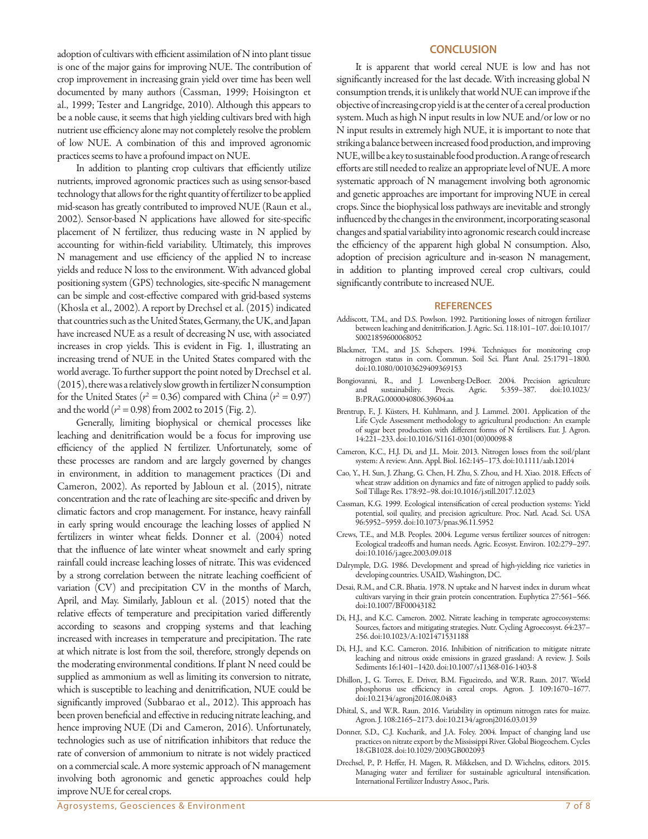adoption of cultivars with efficient assimilation of N into plant tissue is one of the major gains for improving NUE. The contribution of crop improvement in increasing grain yield over time has been well documented by many authors (Cassman, 1999; Hoisington et al., 1999; Tester and Langridge, 2010). Although this appears to be a noble cause, it seems that high yielding cultivars bred with high nutrient use efficiency alone may not completely resolve the problem of low NUE. A combination of this and improved agronomic practices seems to have a profound impact on NUE.

In addition to planting crop cultivars that efficiently utilize nutrients, improved agronomic practices such as using sensor-based technology that allows for the right quantity of fertilizer to be applied mid-season has greatly contributed to improved NUE (Raun et al., 2002). Sensor-based N applications have allowed for site-specific placement of N fertilizer, thus reducing waste in N applied by accounting for within-field variability. Ultimately, this improves N management and use efficiency of the applied N to increase yields and reduce N loss to the environment. With advanced global positioning system (GPS) technologies, site-specific N management can be simple and cost-effective compared with grid-based systems (Khosla et al., 2002). A report by Drechsel et al. (2015) indicated that countries such as the United States, Germany, the UK, and Japan have increased NUE as a result of decreasing N use, with associated increases in crop yields. This is evident in Fig. 1, illustrating an increasing trend of NUE in the United States compared with the world average. To further support the point noted by Drechsel et al. (2015), there was a relatively slow growth in fertilizer N consumption for the United States ( $r^2 = 0.36$ ) compared with China ( $r^2 = 0.97$ ) and the world ( $r^2 = 0.98$ ) from 2002 to 2015 (Fig. 2).

Generally, limiting biophysical or chemical processes like leaching and denitrification would be a focus for improving use efficiency of the applied N fertilizer. Unfortunately, some of these processes are random and are largely governed by changes in environment, in addition to management practices (Di and Cameron, 2002). As reported by Jabloun et al. (2015), nitrate concentration and the rate of leaching are site-specific and driven by climatic factors and crop management. For instance, heavy rainfall in early spring would encourage the leaching losses of applied N fertilizers in winter wheat fields. Donner et al. (2004) noted that the influence of late winter wheat snowmelt and early spring rainfall could increase leaching losses of nitrate. This was evidenced by a strong correlation between the nitrate leaching coefficient of variation (CV) and precipitation CV in the months of March, April, and May. Similarly, Jabloun et al. (2015) noted that the relative effects of temperature and precipitation varied differently according to seasons and cropping systems and that leaching increased with increases in temperature and precipitation. The rate at which nitrate is lost from the soil, therefore, strongly depends on the moderating environmental conditions. If plant N need could be supplied as ammonium as well as limiting its conversion to nitrate, which is susceptible to leaching and denitrification, NUE could be significantly improved (Subbarao et al., 2012). This approach has been proven beneficial and effective in reducing nitrate leaching, and hence improving NUE (Di and Cameron, 2016). Unfortunately, technologies such as use of nitrification inhibitors that reduce the rate of conversion of ammonium to nitrate is not widely practiced on a commercial scale. A more systemic approach of N management involving both agronomic and genetic approaches could help improve NUE for cereal crops.

## **CONCLUSION**

It is apparent that world cereal NUE is low and has not significantly increased for the last decade. With increasing global N consumption trends, it is unlikely that world NUE can improve if the objective of increasing crop yield is at the center of a cereal production system. Much as high N input results in low NUE and/or low or no N input results in extremely high NUE, it is important to note that striking a balance between increased food production, and improving NUE, will be a key to sustainable food production. A range of research efforts are still needed to realize an appropriate level of NUE. A more systematic approach of N management involving both agronomic and genetic approaches are important for improving NUE in cereal crops. Since the biophysical loss pathways are inevitable and strongly influenced by the changes in the environment, incorporating seasonal changes and spatial variability into agronomic research could increase the efficiency of the apparent high global N consumption. Also, adoption of precision agriculture and in-season N management, in addition to planting improved cereal crop cultivars, could significantly contribute to increased NUE.

#### **REFERENCES**

- Addiscott, T.M., and D.S. Powlson. 1992. Partitioning losses of nitrogen fertilizer between leaching and denitrification. J. Agric. Sci. 118:101–107. [doi:10.1017/](https://doi.org/10.1017/S0021859600068052) [S0021859600068052](https://doi.org/10.1017/S0021859600068052)
- Blackmer, T.M., and J.S. Schepers. 1994. Techniques for monitoring crop nitrogen status in corn. Commun. Soil Sci. Plant Anal. 25:1791–1800. [doi:10.1080/00103629409369153](https://doi.org/10.1080/00103629409369153)
- Bongiovanni, R., and J. Lowenberg-DeBoer. 2004. Precision agriculture and sustainability. Precis. [B:PRAG.0000040806.39604.aa](https://doi.org/10.1023/B:PRAG.0000040806.39604.aa)
- Brentrup, F., J. Küsters, H. Kuhlmann, and J. Lammel. 2001. Application of the Life Cycle Assessment methodology to agricultural production: An example of sugar beet production with different forms of N fertilisers. Eur. J. Agron. 14:221–233. [doi:10.1016/S1161-0301\(00\)00098-8](https://doi.org/10.1016/S1161-0301(00)00098-8)
- Cameron, K.C., H.J. Di, and J.L. Moir. 2013. Nitrogen losses from the soil/plant system: A review. Ann. Appl. Biol. 162:145–173. [doi:10.1111/aab.12014](https://doi.org/10.1111/aab.12014)
- Cao, Y., H. Sun, J. Zhang, G. Chen, H. Zhu, S. Zhou, and H. Xiao. 2018. Effects of wheat straw addition on dynamics and fate of nitrogen applied to paddy soils. Soil Tillage Res. 178:92–98. [doi:10.1016/j.still.2017.12.023](https://doi.org/10.1016/j.still.2017.12.023)
- Cassman, K.G. 1999. Ecological intensification of cereal production systems: Yield potential, soil quality, and precision agriculture. Proc. Natl. Acad. Sci. USA 96:5952–5959. [doi:10.1073/pnas.96.11.5952](https://doi.org/10.1073/pnas.96.11.5952)
- Crews, T.E., and M.B. Peoples. 2004. Legume versus fertilizer sources of nitrogen: Ecological tradeoffs and human needs. Agric. Ecosyst. Environ. 102:279–297. [doi:10.1016/j.agee.2003.09.018](https://doi.org/10.1016/j.agee.2003.09.018)
- Dalrymple, D.G. 1986. Development and spread of high-yielding rice varieties in developing countries.USAID, Washington, DC.
- Desai, R.M., and C.R. Bhatia. 1978. N uptake and N harvest index in durum wheat cultivars varying in their grain protein concentration. Euphytica 27:561–566. [doi:10.1007/BF00043182](https://doi.org/10.1007/BF00043182)
- Di, H.J., and K.C. Cameron. 2002. Nitrate leaching in temperate agroecosystems: Sources, factors and mitigating strategies. Nutr. Cycling Agroecosyst. 64:237– 256. [doi:10.1023/A:1021471531188](https://doi.org/10.1023/A:1021471531188)
- Di, H.J., and K.C. Cameron. 2016. Inhibition of nitrification to mitigate nitrate leaching and nitrous oxide emissions in grazed grassland: A review. J. Soils Sediments 16:1401–1420. [doi:10.1007/s11368-016-1403-8](https://doi.org/10.1007/s11368-016-1403-8)
- Dhillon, J., G. Torres, E. Driver, B.M. Figueiredo, and W.R. Raun. 2017. World phosphorus use efficiency in cereal crops. Agron. J. 109:1670–1677. [doi:10.2134/agronj2016.08.0483](https://doi.org/10.2134/agronj2016.08.0483)
- Dhital, S., and W.R. Raun. 2016. Variability in optimum nitrogen rates for maize. Agron. J. 108:2165–2173. [doi:10.2134/agronj2016.03.0139](https://doi.org/10.2134/agronj2016.03.0139)
- Donner, S.D., C.J. Kucharik, and J.A. Foley. 2004. Impact of changing land use practices on nitrate export by the Mississippi River. Global Biogeochem. Cycles 18:GB1028. [doi:10.1029/2003GB002093](https://doi.org/10.1029/2003GB002093)
- Drechsel, P., P. Heffer, H. Magen, R. Mikkelsen, and D. Wichelns, editors. 2015. Managing water and fertilizer for sustainable agricultural intensification. International Fertilizer Industry Assoc., Paris.